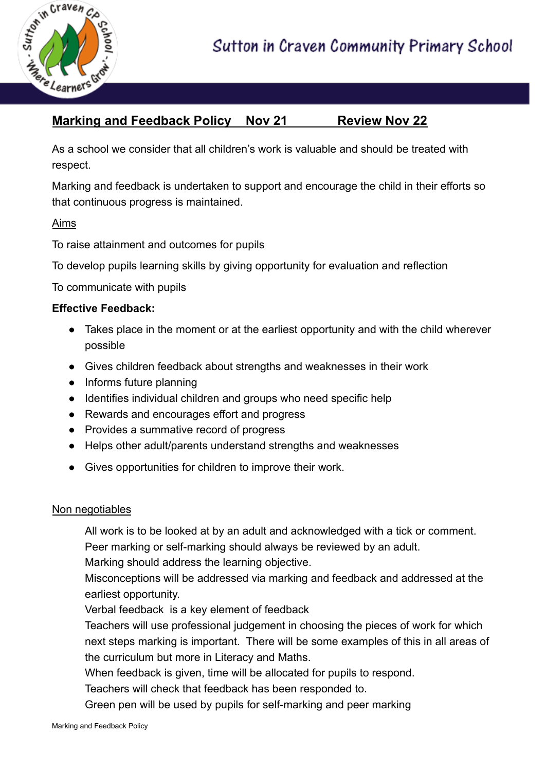

# **Marking and Feedback Policy Nov 21 Review Nov 22**

As a school we consider that all children's work is valuable and should be treated with respect.

Marking and feedback is undertaken to support and encourage the child in their efforts so that continuous progress is maintained.

Aims

To raise attainment and outcomes for pupils

To develop pupils learning skills by giving opportunity for evaluation and reflection

To communicate with pupils

#### **Effective Feedback:**

- Takes place in the moment or at the earliest opportunity and with the child wherever possible
- Gives children feedback about strengths and weaknesses in their work
- Informs future planning
- **●** Identifies individual children and groups who need specific help
- Rewards and encourages effort and progress
- Provides a summative record of progress
- Helps other adult/parents understand strengths and weaknesses
- Gives opportunities for children to improve their work.

#### Non negotiables

All work is to be looked at by an adult and acknowledged with a tick or comment. Peer marking or self-marking should always be reviewed by an adult.

Marking should address the learning objective.

Misconceptions will be addressed via marking and feedback and addressed at the earliest opportunity.

Verbal feedback is a key element of feedback

Teachers will use professional judgement in choosing the pieces of work for which next steps marking is important. There will be some examples of this in all areas of the curriculum but more in Literacy and Maths.

When feedback is given, time will be allocated for pupils to respond.

Teachers will check that feedback has been responded to.

Green pen will be used by pupils for self-marking and peer marking